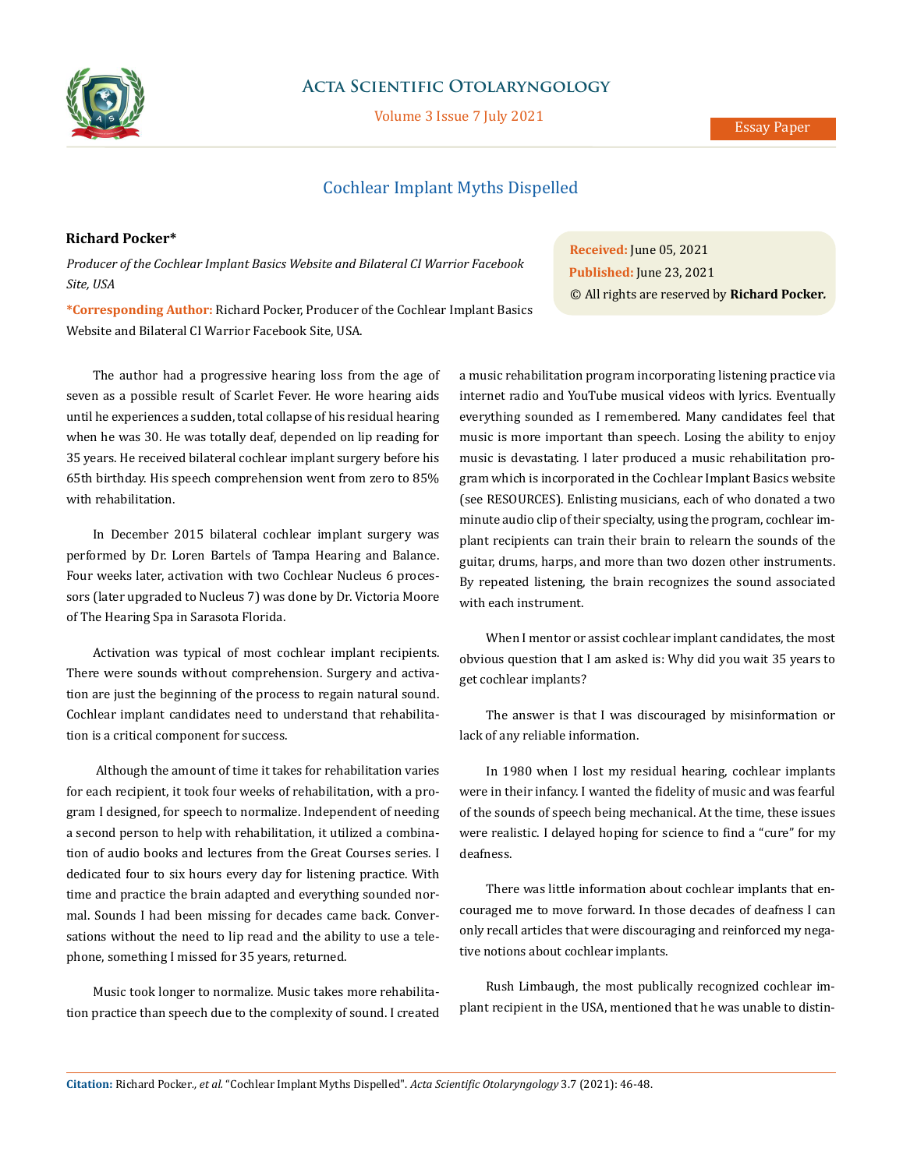

## **Acta Scientific Otolaryngology**

Volume 3 Issue 7 July 2021

### Essay Paper

# Cochlear Implant Myths Dispelled

## **Richard Pocker\***

*Producer of the Cochlear Implant Basics Website and Bilateral CI Warrior Facebook Site, USA*

**Received:** June 05, 2021 **Published:** June 23, 2021 © All rights are reserved by **Richard Pocker***.*

**\*Corresponding Author:** Richard Pocker, Producer of the Cochlear Implant Basics Website and Bilateral CI Warrior Facebook Site, USA.

The author had a progressive hearing loss from the age of seven as a possible result of Scarlet Fever. He wore hearing aids until he experiences a sudden, total collapse of his residual hearing when he was 30. He was totally deaf, depended on lip reading for 35 years. He received bilateral cochlear implant surgery before his 65th birthday. His speech comprehension went from zero to 85% with rehabilitation.

In December 2015 bilateral cochlear implant surgery was performed by Dr. Loren Bartels of Tampa Hearing and Balance. Four weeks later, activation with two Cochlear Nucleus 6 processors (later upgraded to Nucleus 7) was done by Dr. Victoria Moore of The Hearing Spa in Sarasota Florida.

Activation was typical of most cochlear implant recipients. There were sounds without comprehension. Surgery and activation are just the beginning of the process to regain natural sound. Cochlear implant candidates need to understand that rehabilitation is a critical component for success.

 Although the amount of time it takes for rehabilitation varies for each recipient, it took four weeks of rehabilitation, with a program I designed, for speech to normalize. Independent of needing a second person to help with rehabilitation, it utilized a combination of audio books and lectures from the Great Courses series. I dedicated four to six hours every day for listening practice. With time and practice the brain adapted and everything sounded normal. Sounds I had been missing for decades came back. Conversations without the need to lip read and the ability to use a telephone, something I missed for 35 years, returned.

Music took longer to normalize. Music takes more rehabilitation practice than speech due to the complexity of sound. I created a music rehabilitation program incorporating listening practice via internet radio and YouTube musical videos with lyrics. Eventually everything sounded as I remembered. Many candidates feel that music is more important than speech. Losing the ability to enjoy music is devastating. I later produced a music rehabilitation program which is incorporated in the Cochlear Implant Basics website (see RESOURCES). Enlisting musicians, each of who donated a two minute audio clip of their specialty, using the program, cochlear implant recipients can train their brain to relearn the sounds of the guitar, drums, harps, and more than two dozen other instruments. By repeated listening, the brain recognizes the sound associated with each instrument.

When I mentor or assist cochlear implant candidates, the most obvious question that I am asked is: Why did you wait 35 years to get cochlear implants?

The answer is that I was discouraged by misinformation or lack of any reliable information.

In 1980 when I lost my residual hearing, cochlear implants were in their infancy. I wanted the fidelity of music and was fearful of the sounds of speech being mechanical. At the time, these issues were realistic. I delayed hoping for science to find a "cure" for my deafness.

There was little information about cochlear implants that encouraged me to move forward. In those decades of deafness I can only recall articles that were discouraging and reinforced my negative notions about cochlear implants.

Rush Limbaugh, the most publically recognized cochlear implant recipient in the USA, mentioned that he was unable to distin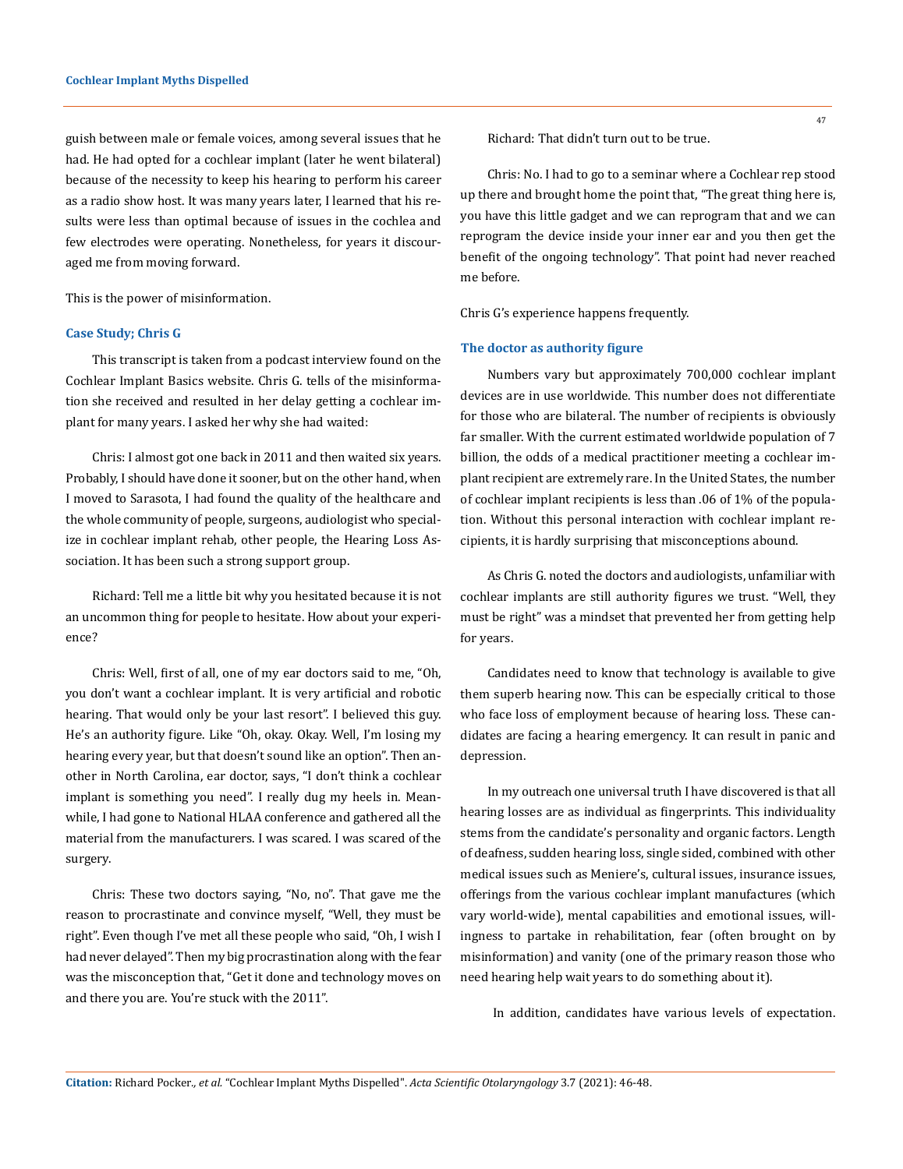guish between male or female voices, among several issues that he had. He had opted for a cochlear implant (later he went bilateral) because of the necessity to keep his hearing to perform his career as a radio show host. It was many years later, I learned that his results were less than optimal because of issues in the cochlea and few electrodes were operating. Nonetheless, for years it discouraged me from moving forward.

This is the power of misinformation.

#### **Case Study; Chris G**

This transcript is taken from a podcast interview found on the Cochlear Implant Basics website. Chris G. tells of the misinformation she received and resulted in her delay getting a cochlear implant for many years. I asked her why she had waited:

Chris: I almost got one back in 2011 and then waited six years. Probably, I should have done it sooner, but on the other hand, when I moved to Sarasota, I had found the quality of the healthcare and the whole community of people, surgeons, audiologist who specialize in cochlear implant rehab, other people, the Hearing Loss Association. It has been such a strong support group.

Richard: Tell me a little bit why you hesitated because it is not an uncommon thing for people to hesitate. How about your experience?

Chris: Well, first of all, one of my ear doctors said to me, "Oh, you don't want a cochlear implant. It is very artificial and robotic hearing. That would only be your last resort". I believed this guy. He's an authority figure. Like "Oh, okay. Okay. Well, I'm losing my hearing every year, but that doesn't sound like an option". Then another in North Carolina, ear doctor, says, "I don't think a cochlear implant is something you need". I really dug my heels in. Meanwhile, I had gone to National HLAA conference and gathered all the material from the manufacturers. I was scared. I was scared of the surgery.

Chris: These two doctors saying, "No, no". That gave me the reason to procrastinate and convince myself, "Well, they must be right". Even though I've met all these people who said, "Oh, I wish I had never delayed". Then my big procrastination along with the fear was the misconception that, "Get it done and technology moves on and there you are. You're stuck with the 2011".

Richard: That didn't turn out to be true.

Chris: No. I had to go to a seminar where a Cochlear rep stood up there and brought home the point that, "The great thing here is, you have this little gadget and we can reprogram that and we can reprogram the device inside your inner ear and you then get the benefit of the ongoing technology". That point had never reached me before.

Chris G's experience happens frequently.

#### **The doctor as authority figure**

Numbers vary but approximately 700,000 cochlear implant devices are in use worldwide. This number does not differentiate for those who are bilateral. The number of recipients is obviously far smaller. With the current estimated worldwide population of 7 billion, the odds of a medical practitioner meeting a cochlear implant recipient are extremely rare. In the United States, the number of cochlear implant recipients is less than .06 of 1% of the population. Without this personal interaction with cochlear implant recipients, it is hardly surprising that misconceptions abound.

As Chris G. noted the doctors and audiologists, unfamiliar with cochlear implants are still authority figures we trust. "Well, they must be right" was a mindset that prevented her from getting help for years.

Candidates need to know that technology is available to give them superb hearing now. This can be especially critical to those who face loss of employment because of hearing loss. These candidates are facing a hearing emergency. It can result in panic and depression.

In my outreach one universal truth I have discovered is that all hearing losses are as individual as fingerprints. This individuality stems from the candidate's personality and organic factors. Length of deafness, sudden hearing loss, single sided, combined with other medical issues such as Meniere's, cultural issues, insurance issues, offerings from the various cochlear implant manufactures (which vary world-wide), mental capabilities and emotional issues, willingness to partake in rehabilitation, fear (often brought on by misinformation) and vanity (one of the primary reason those who need hearing help wait years to do something about it).

In addition, candidates have various levels of expectation.